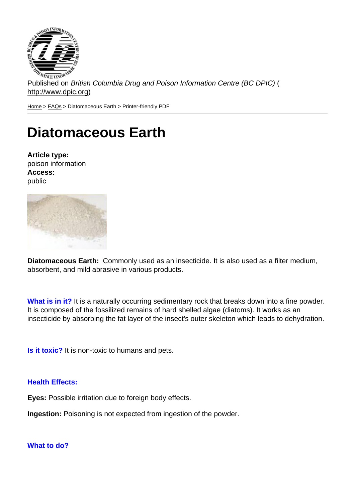Published on British Columbia Drug and Poison Information Centre (BC DPIC) ( http://www.dpic.org)

Home > FAQs > Diatomaceous Earth > Printer-friendly PDF

## [Di](http://www.dpic.org/)[atom](http://www.dpic.org/faq)aceous Earth

Article type: poison information Access: public

Diatomaceous Earth: Commonly used as an insecticide. It is also used as a filter medium, absorbent, and mild abrasive in various products.

What is in it? It is a naturally occurring sedimentary rock that breaks down into a fine powder. It is composed of the fossilized remains of hard shelled algae (diatoms). It works as an insecticide by absorbing the fat layer of the insect's outer skeleton which leads to dehydration.

Is it toxic? It is non-toxic to humans and pets.

Health Effects:

Eyes: Possible irritation due to foreign body effects.

Ingestion: Poisoning is not expected from ingestion of the powder.

What to do?